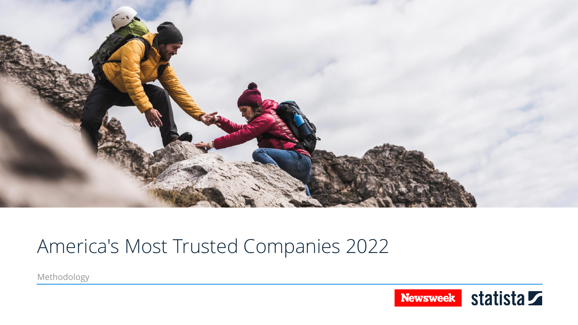

### America's Most Trusted Companies 2022

Methodology

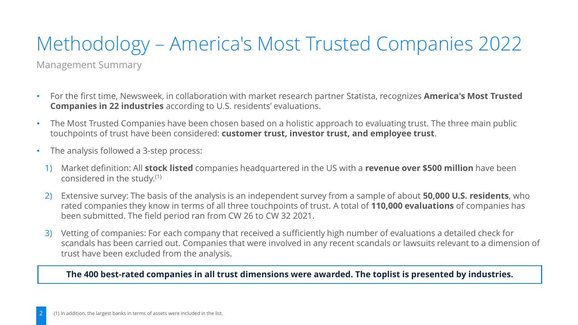# Methodology – America's Most Trusted Companies 2022

Management Summary

- For the first time, Newsweek, in collaboration with market research partner Statista, recognizes **America's Most Trusted Companies in 22 industries** according to U.S. residents' evaluations.
- The Most Trusted Companies have been chosen based on a holistic approach to evaluating trust. The three main public touchpoints of trust have been considered: **customer trust, investor trust, and employee trust**.
- The analysis followed a 3-step process:
	- 1) Market definition: All **stock listed** companies headquartered in the US with a **revenue over \$500 million** have been considered in the study.(1)
	- 2) Extensive survey: The basis of the analysis is an independent survey from a sample of about **50,000 U.S. residents**, who rated companies they know in terms of all three touchpoints of trust. A total of **110,000 evaluations** of companies has been submitted. The field period ran from CW 26 to CW 32 2021.
	- 3) Vetting of companies: For each company that received a sufficiently high number of evaluations a detailed check for scandals has been carried out. Companies that were involved in any recent scandals or lawsuits relevant to a dimension of trust have been excluded from the analysis.

### **The 400 best-rated companies in all trust dimensions were awarded. The toplist is presented by industries.**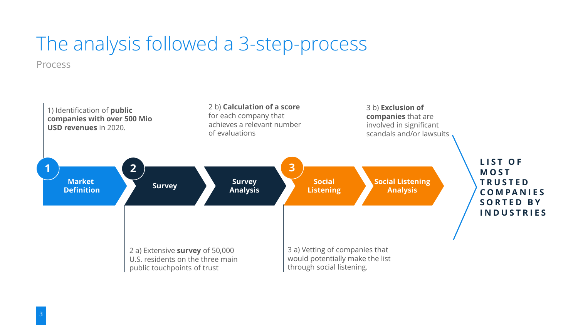## The analysis followed a 3-step-process

Process

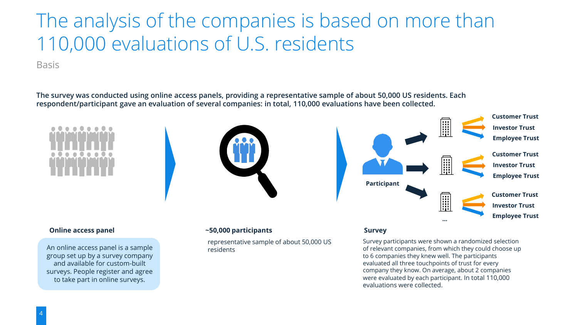### The analysis of the companies is based on more than 110,000 evaluations of U.S. residents

Basis

**The survey was conducted using online access panels, providing a representative sample of about 50,000 US residents. Each respondent/participant gave an evaluation of several companies: in total, 110,000 evaluations have been collected.**

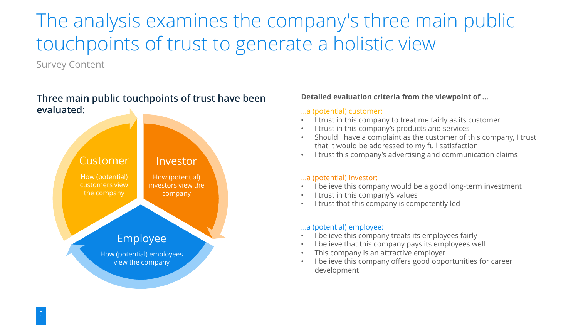## The analysis examines the company's three main public touchpoints of trust to generate a holistic view

Survey Content

### **Three main public touchpoints of trust have been evaluated:**



#### **Detailed evaluation criteria from the viewpoint of …**

#### …a (potential) customer:

- I trust in this company to treat me fairly as its customer
- I trust in this company's products and services
- Should I have a complaint as the customer of this company, I trust that it would be addressed to my full satisfaction
- I trust this company's advertising and communication claims

#### …a (potential) investor:

- I believe this company would be a good long-term investment
- I trust in this company's values
- I trust that this company is competently led

#### …a (potential) employee:

- I believe this company treats its employees fairly
- I believe that this company pays its employees well
- This company is an attractive employer
- I believe this company offers good opportunities for career development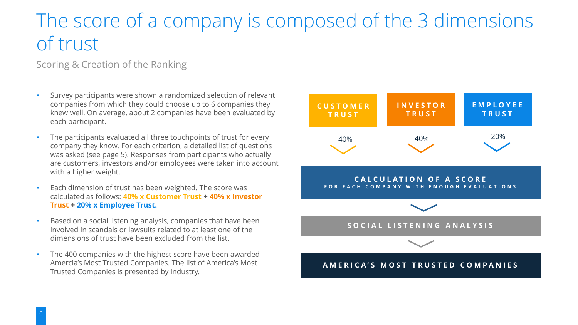### The score of a company is composed of the 3 dimensions of trust

### Scoring & Creation of the Ranking

- Survey participants were shown a randomized selection of relevant companies from which they could choose up to 6 companies they knew well. On average, about 2 companies have been evaluated by each participant.
- The participants evaluated all three touchpoints of trust for every company they know. For each criterion, a detailed list of questions was asked (see page 5). Responses from participants who actually are customers, investors and/or employees were taken into account with a higher weight.
- Each dimension of trust has been weighted. The score was calculated as follows: **40% x Customer Trust + 40% x Investor Trust + 20% x Employee Trust.**
- Based on a social listening analysis, companies that have been involved in scandals or lawsuits related to at least one of the dimensions of trust have been excluded from the list.
- The 400 companies with the highest score have been awarded Amercia's Most Trusted Companies. The list of America's Most Trusted Companies is presented by industry.

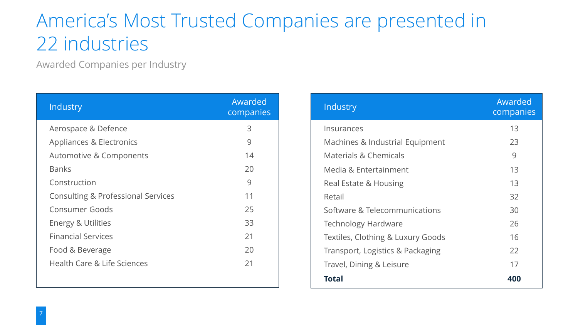### America's Most Trusted Companies are presented in 22 industries

Awarded Companies per Industry

| Industry                               | Awarded<br>companies |
|----------------------------------------|----------------------|
| Aerospace & Defence                    | 3                    |
| Appliances & Electronics               | 9                    |
| Automotive & Components                | 14                   |
| <b>Banks</b>                           | 20                   |
| Construction                           | 9                    |
| Consulting & Professional Services     | 11                   |
| Consumer Goods                         | 25                   |
| <b>Energy &amp; Utilities</b>          | 33                   |
| <b>Financial Services</b>              | 21                   |
| Food & Beverage                        | 20                   |
| <b>Health Care &amp; Life Sciences</b> | 21                   |
|                                        |                      |

| Industry                          | Awarded<br>companies |
|-----------------------------------|----------------------|
| Insurances                        | 13                   |
| Machines & Industrial Equipment   | 23                   |
| Materials & Chemicals             | 9                    |
| Media & Entertainment             | 13                   |
| Real Estate & Housing             | 13                   |
| Retail                            | 32                   |
| Software & Telecommunications     | 30                   |
| Technology Hardware               | 26                   |
| Textiles, Clothing & Luxury Goods | 16                   |
| Transport, Logistics & Packaging  | 22                   |
| Travel, Dining & Leisure          | 17                   |
| <b>Total</b>                      | 400                  |